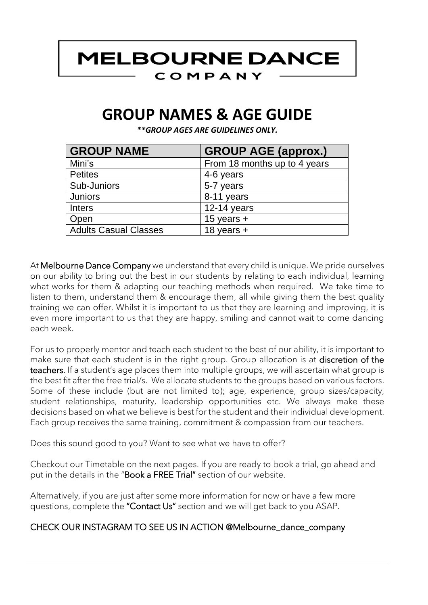### **MELBOURNE DANCE** COMPANY

## **GROUP NAMES & AGE GUIDE**

*\*\*GROUP AGES ARE GUIDELINES ONLY.*

| <b>GROUP NAME</b>            | <b>GROUP AGE (approx.)</b>   |
|------------------------------|------------------------------|
| Mini's                       | From 18 months up to 4 years |
| <b>Petites</b>               | 4-6 years                    |
| Sub-Juniors                  | 5-7 years                    |
| <b>Juniors</b>               | 8-11 years                   |
| <b>Inters</b>                | $12-14$ years                |
| Open                         | 15 years $+$                 |
| <b>Adults Casual Classes</b> | 18 years $+$                 |

At Melbourne Dance Company we understand that every child is unique. We pride ourselves on our ability to bring out the best in our students by relating to each individual, learning what works for them & adapting our teaching methods when required. We take time to listen to them, understand them & encourage them, all while giving them the best quality training we can offer. Whilst it is important to us that they are learning and improving, it is even more important to us that they are happy, smiling and cannot wait to come dancing each week.

For us to properly mentor and teach each student to the best of our ability, it is important to make sure that each student is in the right group. Group allocation is at discretion of the teachers. If a student's age places them into multiple groups, we will ascertain what group is the best fit after the free trial/s. We allocate students to the groups based on various factors. Some of these include (but are not limited to); age, experience, group sizes/capacity, student relationships, maturity, leadership opportunities etc. We always make these decisions based on what we believe is best for the student and their individual development. Each group receives the same training, commitment & compassion from our teachers.

Does this sound good to you? Want to see what we have to offer?

Checkout our Timetable on the next pages. If you are ready to book a trial, go ahead and put in the details in the "Book a FREE Trial" section of our website.

Alternatively, if you are just after some more information for now or have a few more questions, complete the "Contact Us" section and we will get back to you ASAP.

#### CHECK OUR INSTAGRAM TO SEE US IN ACTION @Melbourne\_dance\_company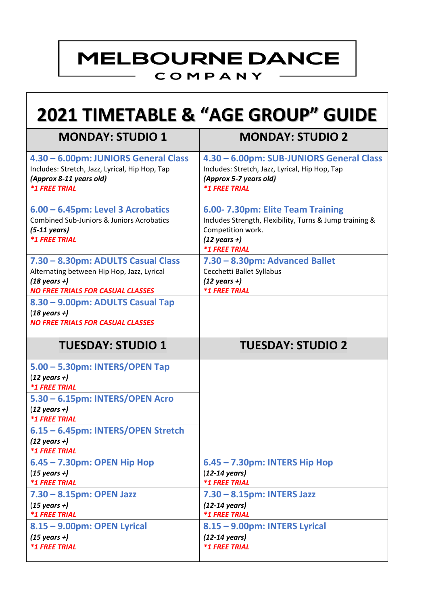# **MELBOURNE DANCE**

#### COMPANY

#### **2021 TIMETABLE & "AGE GROUP" GUIDE MONDAY: STUDIO 1 MONDAY: STUDIO 2 4.30 – 6.00pm: JUNIORS General Class** Includes: Stretch, Jazz, Lyrical, Hip Hop, Tap *(Approx 8-11 years old) \*1 FREE TRIAL* **4.30 – 6.00pm: SUB-JUNIORS General Class** Includes: Stretch, Jazz, Lyrical, Hip Hop, Tap *(Approx 5-7 years old) \*1 FREE TRIAL* **6.00 – 6.45pm: Level 3 Acrobatics** Combined Sub-Juniors & Juniors Acrobatics *(5-11 years) \*1 FREE TRIAL* **6.00- 7.30pm: Elite Team Training** Includes Strength, Flexibility, Turns & Jump training & Competition work. *(12 years +) \*1 FREE TRIAL* **7.30 – 8.30pm: ADULTS Casual Class** Alternating between Hip Hop, Jazz, Lyrical *(18 years +) NO FREE TRIALS FOR CASUAL CLASSES* **7.30 – 8.30pm: Advanced Ballet** Cecchetti Ballet Syllabus *(12 years +) \*1 FREE TRIAL* **8.30 – 9.00pm: ADULTS Casual Tap** (*18 years +) NO FREE TRIALS FOR CASUAL CLASSES*

| <b>TUESDAY: STUDIO 1</b>                                                                     | <b>TUESDAY: STUDIO 2</b>                                                                |
|----------------------------------------------------------------------------------------------|-----------------------------------------------------------------------------------------|
| 5.00 - 5.30pm: INTERS/OPEN Tap<br>$(12 \text{ years } +)$<br><b><i>*1 FREE TRIAL</i></b>     |                                                                                         |
| 5.30 - 6.15pm: INTERS/OPEN Acro<br>$(12 \text{ years} + )$<br><b><i>*1 FREE TRIAL</i></b>    |                                                                                         |
| 6.15 - 6.45pm: INTERS/OPEN Stretch<br>$(12 \text{ years } +)$<br><b><i>*1 FREE TRIAL</i></b> |                                                                                         |
| $6.45 - 7.30$ pm: OPEN Hip Hop<br>$(15 \text{ years} +)$<br><i><b>*1 FREE TRIAL</b></i>      | 6.45 - 7.30pm: INTERS Hip Hop<br>$(12-14 \text{ years})$<br><b><i>*1 FREE TRIAL</i></b> |
| $7.30 - 8.15$ pm: OPEN Jazz<br>$(15 \text{ years} +)$<br><b><i>*1 FREE TRIAL</i></b>         | $7.30 - 8.15$ pm: INTERS Jazz<br>$(12-14 \text{ years})$<br><b><i>*1 FREE TRIAL</i></b> |
| 8.15 - 9.00pm: OPEN Lyrical<br>$(15 \text{ years} +)$<br><i><b>*1 FREE TRIAL</b></i>         | 8.15 - 9.00pm: INTERS Lyrical<br>$(12-14 \text{ years})$<br><b><i>*1 FREE TRIAL</i></b> |